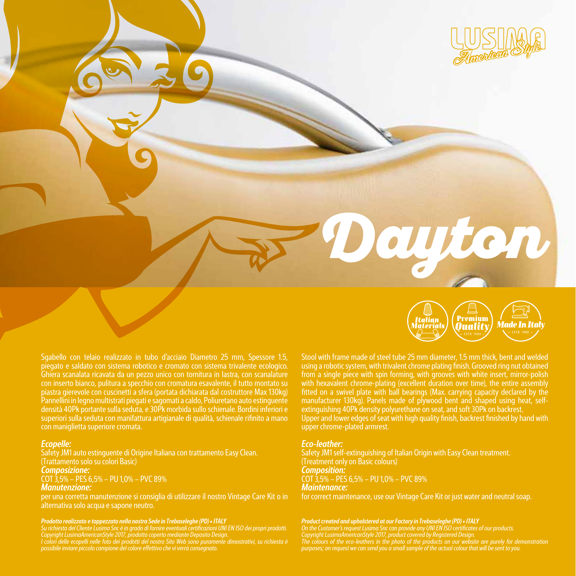

## *Ecopelle:*

Safety JM1 auto estinguente di Origine Italiana con trattamento Easy Clean. (Trattamento solo su colori Basic) *Composizione:* 

COT 3,5% – PES 6,5% – PU 1,0% – PVC 89%

# *Manutenzione:*

per una corretta manutenzione si consiglia di utilizzare il nostro Vintage Care Kit o in alternativa solo acqua e sapone neutro.

### *Prodotto realizzato e tappezzato nella nostra Sede in Trebaseleghe (PD) • ITALY*

*Su richiesta del Cliente Lusima Snc è in grado di fornire eventuali certificazioni UNI EN ISO dei propri prodotti. Copyright LusimaAmericanStyle 2017, prodotto coperto mediante Deposito Design.*

I colori delle ecopelli nelle foto dei prodotti del nostro Sito Web sono puramente dimostrativi, su richiesta è<br>possibile inviare piccolo campione del colore effettivo che vi verrà consegnato.



Dayton

Stool with frame made of steel tube 25 mm diameter, 1.5 mm thick, bent and welded using a robotic system, with trivalent chrome plating finish. Grooved ring nut obtained from a single piece with spin forming, with grooves with white insert, mirror-polish with hexavalent chrome-plating (excellent duration over time), the entire assembly fitted on a swivel plate with ball bearings (Max. carrying capacity declared by the manufacturer 130kg). Panels made of plywood bent and shaped using heat, selfextinguishing 40Pk density polyurethane on seat, and soft 30Pk on backrest. Upper and lower edges of seat with high quality finish, backrest finished by hand with upper chrome-plated armrest.

### *Eco-leather:*

Safety JM1 self-extinguishing of Italian Origin with Easy Clean treatment. (Treatment only on Basic colours) *Composition:*  COT 3,5% – PES 6,5% – PU 1,0% – PVC 89% *Maintenance:*  for correct maintenance, use our Vintage Care Kit or just water and neutral soap.

Product created and upholstered at our Factory in Trebaseleghe (PD) • ITALY<br>On the Customer's request Lusima Snc can provide any UNI EN ISO certificates of our products.<br>Copyright LusimaAmericanStyle 2017, product covered *The colours of the eco-leathers in the photo of the products on our website are purely for demonstration purposes; on request we can send you a small sample of the actual colour that will be sent to you.*